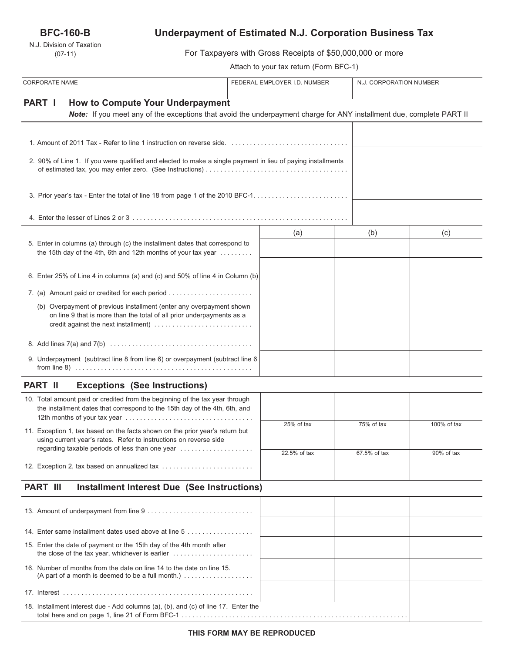# **BFC-160-B**

N.J. Division of Taxation (07-11)

# **Underpayment of Estimated N.J. Corporation Business Tax**

For Taxpayers with Gross Receipts of \$50,000,000 or more

Attach to your tax return (Form BFC-1)

| <b>CORPORATE NAME</b>                                                                                                                                                                 | FEDERAL EMPLOYER I.D. NUMBER |              | N.J. CORPORATION NUMBER |  |
|---------------------------------------------------------------------------------------------------------------------------------------------------------------------------------------|------------------------------|--------------|-------------------------|--|
| <b>PART I</b><br><b>How to Compute Your Underpayment</b>                                                                                                                              |                              |              |                         |  |
| Note: If you meet any of the exceptions that avoid the underpayment charge for ANY installment due, complete PART II                                                                  |                              |              |                         |  |
|                                                                                                                                                                                       |                              |              |                         |  |
| 2. 90% of Line 1. If you were qualified and elected to make a single payment in lieu of paying installments                                                                           |                              |              |                         |  |
|                                                                                                                                                                                       |                              |              |                         |  |
|                                                                                                                                                                                       |                              |              |                         |  |
| 5. Enter in columns (a) through (c) the installment dates that correspond to<br>the 15th day of the 4th, 6th and 12th months of your tax year                                         | (a)                          | (b)          | (c)                     |  |
| 6. Enter 25% of Line 4 in columns (a) and (c) and 50% of line 4 in Column (b)                                                                                                         |                              |              |                         |  |
| 7. (a) Amount paid or credited for each period                                                                                                                                        |                              |              |                         |  |
| (b) Overpayment of previous installment (enter any overpayment shown<br>on line 9 that is more than the total of all prior underpayments as a<br>credit against the next installment) |                              |              |                         |  |
|                                                                                                                                                                                       |                              |              |                         |  |
| 9. Underpayment (subtract line 8 from line 6) or overpayment (subtract line 6                                                                                                         |                              |              |                         |  |
| <b>PART II</b><br><b>Exceptions (See Instructions)</b>                                                                                                                                |                              |              |                         |  |
| 10. Total amount paid or credited from the beginning of the tax year through<br>the installment dates that correspond to the 15th day of the 4th, 6th, and                            |                              |              |                         |  |
| 11. Exception 1, tax based on the facts shown on the prior year's return but<br>using current year's rates. Refer to instructions on reverse side                                     | 25% of tax                   | 75% of tax   | 100% of tax             |  |
| regarding taxable periods of less than one year                                                                                                                                       | 22.5% of tax                 | 67.5% of tax | 90% of tax              |  |
| 12. Exception 2, tax based on annualized tax                                                                                                                                          |                              |              |                         |  |
| <b>PART III</b><br><b>Installment Interest Due (See Instructions)</b>                                                                                                                 |                              |              |                         |  |
|                                                                                                                                                                                       |                              |              |                         |  |
| 14. Enter same installment dates used above at line 5                                                                                                                                 |                              |              |                         |  |
| 15. Enter the date of payment or the 15th day of the 4th month after<br>the close of the tax year, whichever is earlier                                                               |                              |              |                         |  |
| 16. Number of months from the date on line 14 to the date on line 15.<br>(A part of a month is deemed to be a full month.) $\ldots \ldots \ldots \ldots \ldots$                       |                              |              |                         |  |
|                                                                                                                                                                                       |                              |              |                         |  |
| 18. Installment interest due - Add columns (a), (b), and (c) of line 17. Enter the                                                                                                    |                              |              |                         |  |

total here and on page 1, line 21 of Form BFC-1 . . . . . . . . . . . . . . . . . . . . . . . . . . . . . . . . . . . . . . . . . . . . . . . . . . . . . . . . . . . . . .